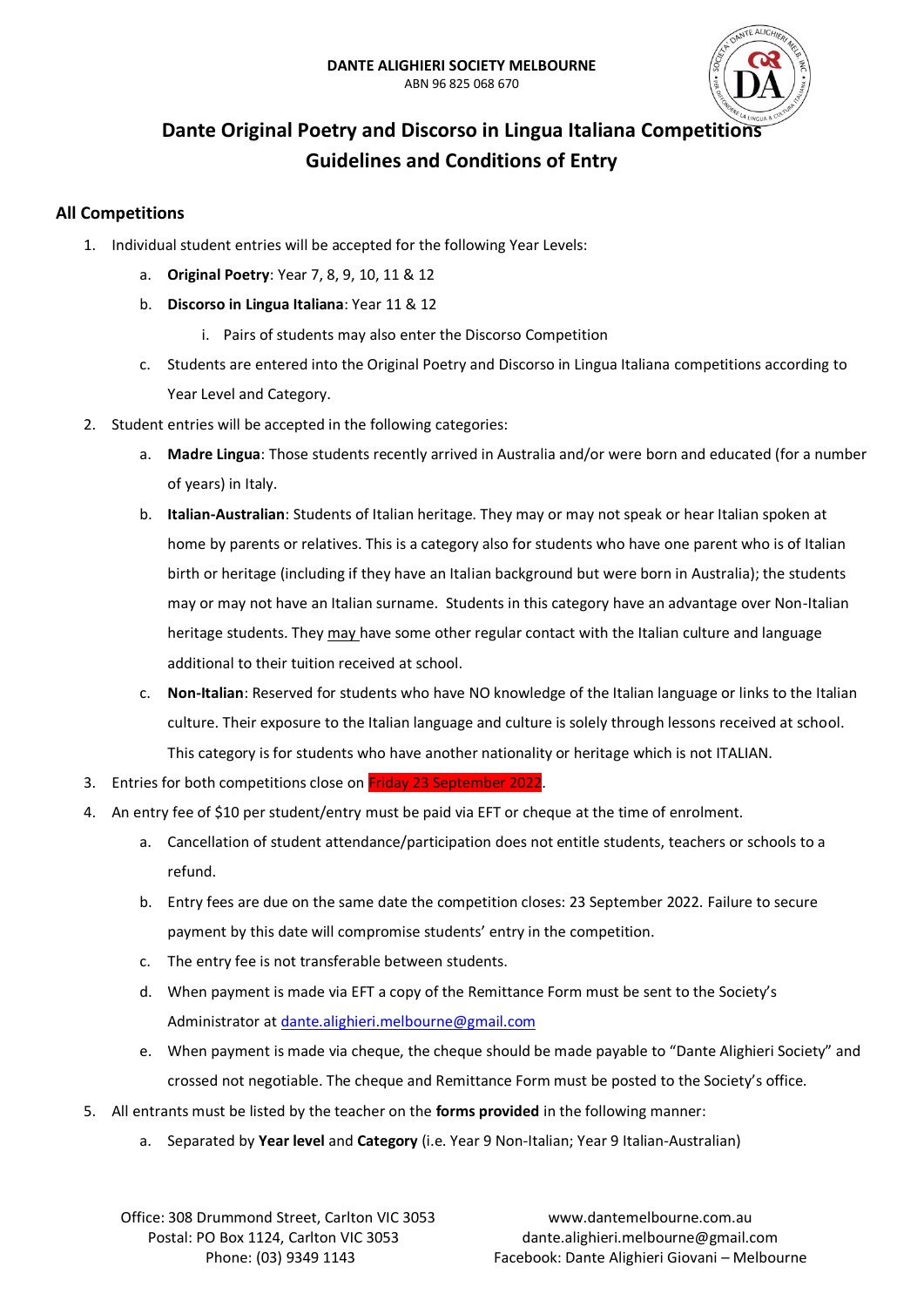

# **Dante Original Poetry and Discorso in Lingua Italiana Competitions Guidelines and Conditions of Entry**

## **All Competitions**

- 1. Individual student entries will be accepted for the following Year Levels:
	- a. **Original Poetry**: Year 7, 8, 9, 10, 11 & 12
	- b. **Discorso in Lingua Italiana**: Year 11 & 12
		- i. Pairs of students may also enter the Discorso Competition
	- c. Students are entered into the Original Poetry and Discorso in Lingua Italiana competitions according to Year Level and Category.
- 2. Student entries will be accepted in the following categories:
	- a. **Madre Lingua**: Those students recently arrived in Australia and/or were born and educated (for a number of years) in Italy.
	- b. **Italian-Australian**: Students of Italian heritage. They may or may not speak or hear Italian spoken at home by parents or relatives. This is a category also for students who have one parent who is of Italian birth or heritage (including if they have an Italian background but were born in Australia); the students may or may not have an Italian surname. Students in this category have an advantage over Non-Italian heritage students. They may have some other regular contact with the Italian culture and language additional to their tuition received at school.
	- c. **Non-Italian**: Reserved for students who have NO knowledge of the Italian language or links to the Italian culture. Their exposure to the Italian language and culture is solely through lessons received at school. This category is for students who have another nationality or heritage which is not ITALIAN.
- 3. Entries for both competitions close on Friday 23 September 2022.
- 4. An entry fee of \$10 per student/entry must be paid via EFT or cheque at the time of enrolment.
	- a. Cancellation of student attendance/participation does not entitle students, teachers or schools to a refund.
	- b. Entry fees are due on the same date the competition closes: 23 September 2022. Failure to secure payment by this date will compromise students' entry in the competition.
	- c. The entry fee is not transferable between students.
	- d. When payment is made via EFT a copy of the Remittance Form must be sent to the Society's Administrator a[t dante.alighieri.melbourne@gmail.com](mailto:dante.alighieri.melbourne@gmail.com)
	- e. When payment is made via cheque, the cheque should be made payable to "Dante Alighieri Society" and crossed not negotiable. The cheque and Remittance Form must be posted to the Society's office.
- 5. All entrants must be listed by the teacher on the **forms provided** in the following manner:
	- a. Separated by **Year level** and **Category** (i.e. Year 9 Non-Italian; Year 9 Italian-Australian)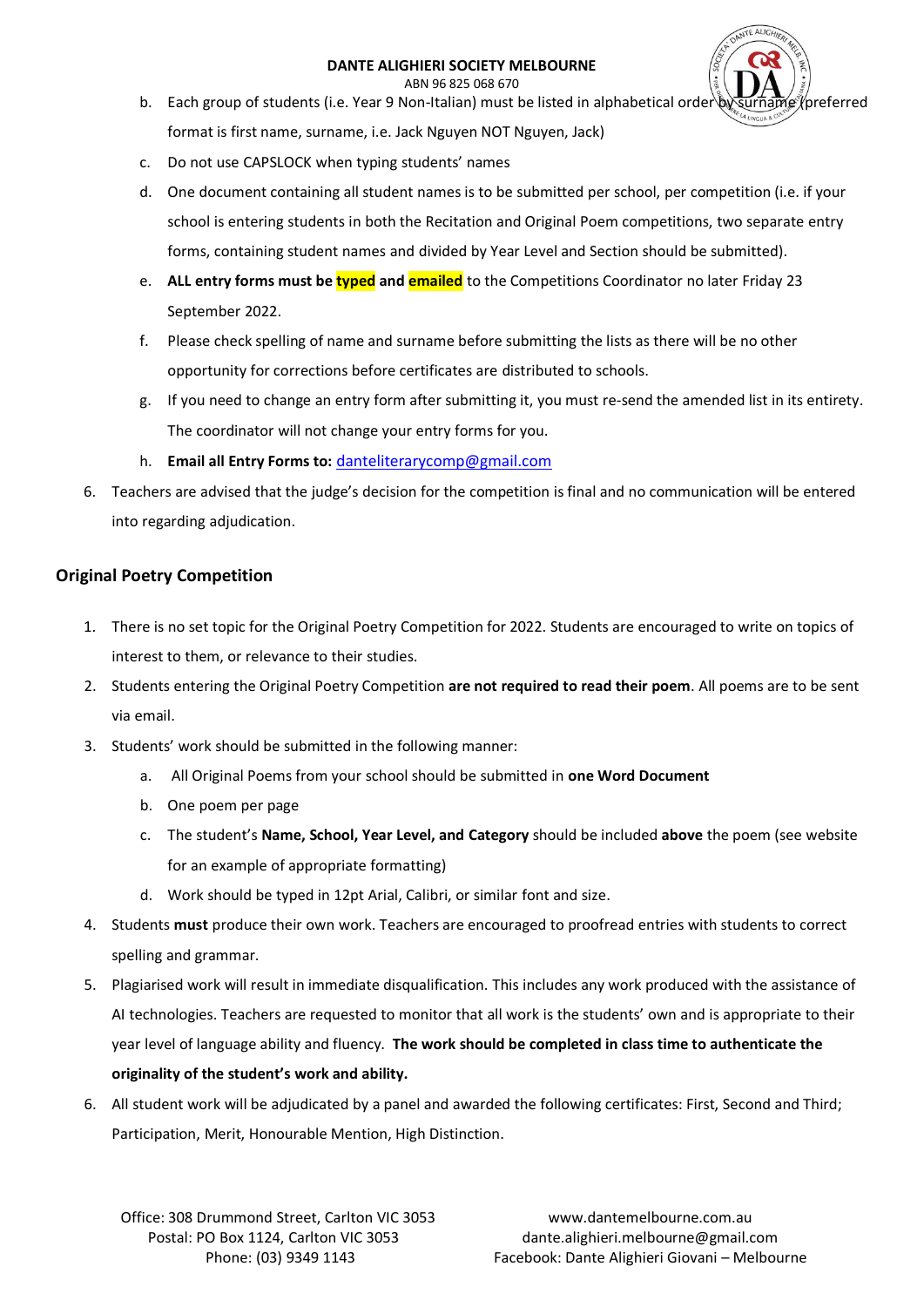#### **DANTE ALIGHIERI SOCIETY MELBOURNE**

ABN 96 825 068 670

- b. Each group of students (i.e. Year 9 Non-Italian) must be listed in alphabetical order by surname (preferred format is first name, surname, i.e. Jack Nguyen NOT Nguyen, Jack)
- c. Do not use CAPSLOCK when typing students' names
- d. One document containing all student names is to be submitted per school, per competition (i.e. if your school is entering students in both the Recitation and Original Poem competitions, two separate entry forms, containing student names and divided by Year Level and Section should be submitted).
- e. **ALL entry forms must be typed and emailed** to the Competitions Coordinator no later Friday 23 September 2022.
- f. Please check spelling of name and surname before submitting the lists as there will be no other opportunity for corrections before certificates are distributed to schools.
- g. If you need to change an entry form after submitting it, you must re-send the amended list in its entirety. The coordinator will not change your entry forms for you.
- h. **Email all Entry Forms to:** [danteliterarycomp@gmail.com](mailto:danteliterarycomp@gmail.com)
- 6. Teachers are advised that the judge's decision for the competition is final and no communication will be entered into regarding adjudication.

## **Original Poetry Competition**

- 1. There is no set topic for the Original Poetry Competition for 2022. Students are encouraged to write on topics of interest to them, or relevance to their studies.
- 2. Students entering the Original Poetry Competition **are not required to read their poem**. All poems are to be sent via email.
- 3. Students' work should be submitted in the following manner:
	- a. All Original Poems from your school should be submitted in **one Word Document**
	- b. One poem per page
	- c. The student's **Name, School, Year Level, and Category** should be included **above** the poem (see website for an example of appropriate formatting)
	- d. Work should be typed in 12pt Arial, Calibri, or similar font and size.
- 4. Students **must** produce their own work. Teachers are encouraged to proofread entries with students to correct spelling and grammar.
- 5. Plagiarised work will result in immediate disqualification. This includes any work produced with the assistance of AI technologies. Teachers are requested to monitor that all work is the students' own and is appropriate to their year level of language ability and fluency. **The work should be completed in class time to authenticate the originality of the student's work and ability.**
- 6. All student work will be adjudicated by a panel and awarded the following certificates: First, Second and Third; Participation, Merit, Honourable Mention, High Distinction.